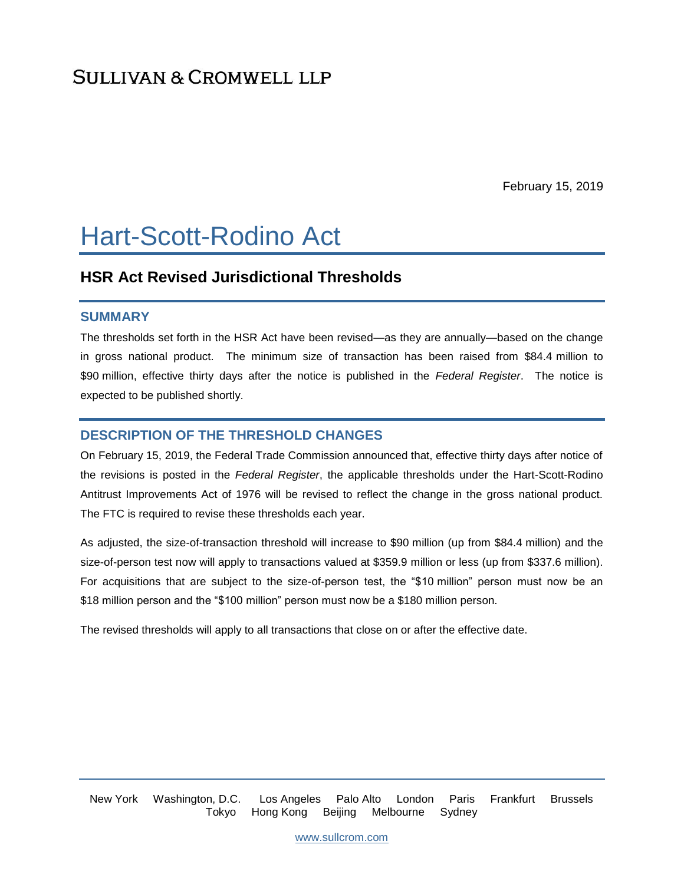## **SULLIVAN & CROMWELL LLP**

February 15, 2019

# Hart-Scott-Rodino Act

## **HSR Act Revised Jurisdictional Thresholds**

#### **SUMMARY**

The thresholds set forth in the HSR Act have been revised—as they are annually—based on the change in gross national product. The minimum size of transaction has been raised from \$84.4 million to \$90 million, effective thirty days after the notice is published in the *Federal Register*. The notice is expected to be published shortly.

## **DESCRIPTION OF THE THRESHOLD CHANGES**

On February 15, 2019, the Federal Trade Commission announced that, effective thirty days after notice of the revisions is posted in the *Federal Register*, the applicable thresholds under the Hart-Scott-Rodino Antitrust Improvements Act of 1976 will be revised to reflect the change in the gross national product. The FTC is required to revise these thresholds each year.

As adjusted, the size-of-transaction threshold will increase to \$90 million (up from \$84.4 million) and the size-of-person test now will apply to transactions valued at \$359.9 million or less (up from \$337.6 million). For acquisitions that are subject to the size-of-person test, the "\$10 million" person must now be an \$18 million person and the "\$100 million" person must now be a \$180 million person.

The revised thresholds will apply to all transactions that close on or after the effective date.

New York Washington, D.C. Los Angeles Palo Alto London Paris Frankfurt Brussels Tokyo Hong Kong Beijing Melbourne Sydney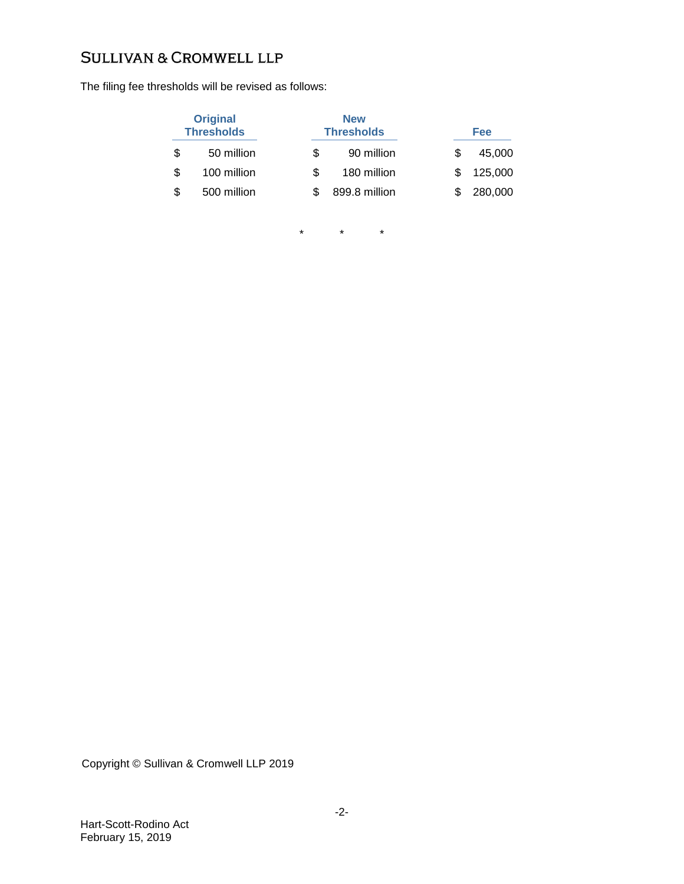## **SULLIVAN & CROMWELL LLP**

The filing fee thresholds will be revised as follows:

| <b>Original</b><br><b>Thresholds</b> |             | <b>New</b><br><b>Thresholds</b> |               |   | Fee     |  |
|--------------------------------------|-------------|---------------------------------|---------------|---|---------|--|
| S                                    | 50 million  | \$.                             | 90 million    | S | 45,000  |  |
| \$                                   | 100 million | S.                              | 180 million   |   | 125,000 |  |
| \$                                   | 500 million |                                 | 899.8 million |   | 280,000 |  |

\* \* \*

Copyright © Sullivan & Cromwell LLP 2019